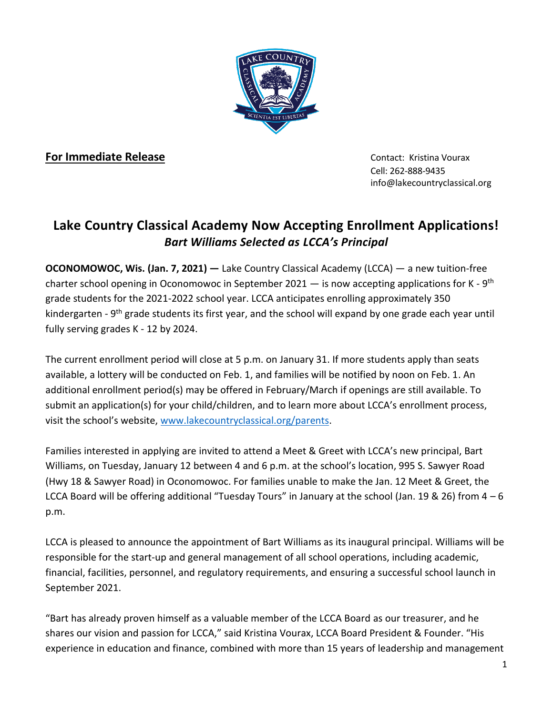

**For Immediate Release Contact: Kristina Vourax** 

 Cell: 262-888-9435 info@lakecountryclassical.org

## **Lake Country Classical Academy Now Accepting Enrollment Applications!** *Bart Williams Selected as LCCA's Principal*

**OCONOMOWOC, Wis. (Jan. 7, 2021) —** Lake Country Classical Academy (LCCA) — a new tuition-free charter school opening in Oconomowoc in September 2021  $-$  is now accepting applications for K - 9<sup>th</sup> grade students for the 2021-2022 school year. LCCA anticipates enrolling approximately 350 kindergarten - 9<sup>th</sup> grade students its first year, and the school will expand by one grade each year until fully serving grades K - 12 by 2024.

The current enrollment period will close at 5 p.m. on January 31. If more students apply than seats available, a lottery will be conducted on Feb. 1, and families will be notified by noon on Feb. 1. An additional enrollment period(s) may be offered in February/March if openings are still available. To submit an application(s) for your child/children, and to learn more about LCCA's enrollment process, visit the school's website, [www.lakecountryclassical.org/parents.](http://www.lakecountryclassical.org/parents)

Families interested in applying are invited to attend a Meet & Greet with LCCA's new principal, Bart Williams, on Tuesday, January 12 between 4 and 6 p.m. at the school's location, 995 S. Sawyer Road (Hwy 18 & Sawyer Road) in Oconomowoc. For families unable to make the Jan. 12 Meet & Greet, the LCCA Board will be offering additional "Tuesday Tours" in January at the school (Jan. 19 & 26) from  $4-6$ p.m.

LCCA is pleased to announce the appointment of Bart Williams as its inaugural principal. Williams will be responsible for the start-up and general management of all school operations, including academic, financial, facilities, personnel, and regulatory requirements, and ensuring a successful school launch in September 2021.

"Bart has already proven himself as a valuable member of the LCCA Board as our treasurer, and he shares our vision and passion for LCCA," said Kristina Vourax, LCCA Board President & Founder. "His experience in education and finance, combined with more than 15 years of leadership and management